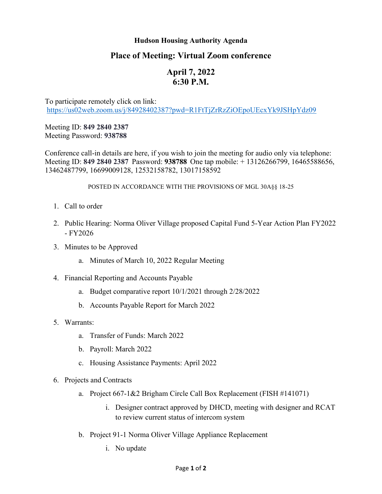## **Hudson Housing Authority Agenda**

## **Place of Meeting: Virtual Zoom conference**

## **April 7, 2022 6:30 P.M.**

To participate remotely click on link: <https://us02web.zoom.us/j/84928402387?pwd=R1FtTjZrRzZiOEpoUEcxYk9JSHpYdz09>

Meeting ID: **849 2840 2387** Meeting Password: **938788**

Conference call-in details are here, if you wish to join the meeting for audio only via telephone: Meeting ID: **849 2840 2387** Password: **938788** One tap mobile: + 13126266799, 16465588656, 13462487799, 16699009128, 12532158782, 13017158592

## POSTED IN ACCORDANCE WITH THE PROVISIONS OF MGL 30A§§ 18-25

- 1. Call to order
- 2. Public Hearing: Norma Oliver Village proposed Capital Fund 5-Year Action Plan FY2022 - FY2026
- 3. Minutes to be Approved
	- a. Minutes of March 10, 2022 Regular Meeting
- 4. Financial Reporting and Accounts Payable
	- a. Budget comparative report 10/1/2021 through 2/28/2022
	- b. Accounts Payable Report for March 2022
- 5. Warrants:
	- a. Transfer of Funds: March 2022
	- b. Payroll: March 2022
	- c. Housing Assistance Payments: April 2022
- 6. Projects and Contracts
	- a. Project 667-1&2 Brigham Circle Call Box Replacement (FISH #141071)
		- i. Designer contract approved by DHCD, meeting with designer and RCAT to review current status of intercom system
	- b. Project 91-1 Norma Oliver Village Appliance Replacement
		- i. No update